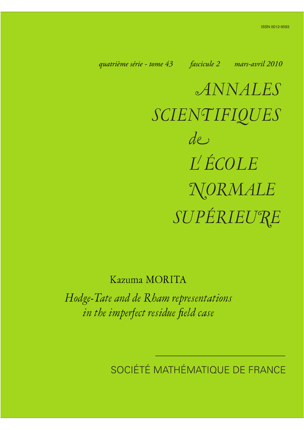*quatrième série - tome 43 fascicule 2 mars-avril 2010*

*ANNALES SCIENTIFIQUES SUPÉRIEURE de L ÉCOLE NORMALE*

# Kazuma MORITA

*Hodge-Tate and de Rham representations in the imperfect residue field case*

SOCIÉTÉ MATHÉMATIQUE DE FRANCE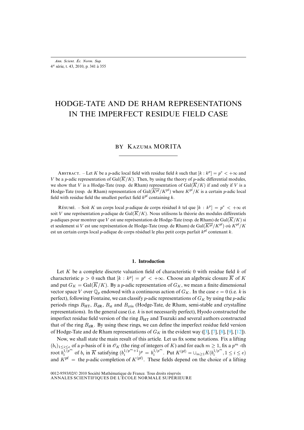## HODGE-TATE AND DE RHAM REPRESENTATIONS IN THE IMPERFECT RESIDUE FIELD CASE

### BY KAZUMA MORITA

ABSTRACT. – Let *K* be a *p*-adic local field with residue field *k* such that  $[k : k^p] = p^e < +\infty$  and *V* be a *p*-adic representation of Gal( $\overline{K}/K$ ). Then, by using the theory of *p*-adic differential modules, we show that *V* is a Hodge-Tate (resp. de Rham) representation of Gal( $\overline{K}/K$ ) if and only if *V* is a Hodge-Tate (resp. de Rham) representation of Gal $(\overline{K^{pf}}/K^{pf})$  where  $K^{pf}/K$  is a certain *p*-adic local field with residue field the smallest perfect field  $k<sup>pf</sup>$  containing  $k$ .

RÉSUMÉ. – Soit *K* un corps local *p*-adique de corps résiduel *k* tel que  $[k : k^p] = p^e < +\infty$  et soit *V* une représentation *p*-adique de Gal( $\overline{K}/K$ ). Nous utilisons la théorie des modules différentiels *p*-adiques pour montrer que *V* est une représentation de Hodge-Tate (resp. de Rham) de Gal( $\overline{K}/K$ ) si et seulement si *V* est une représentation de Hodge-Tate (resp. de Rham) de Gal(*K*pf*/K*pf) où *K*pf*/K* est un certain corps local *p*-adique de corps résiduel le plus petit corps parfait *k*pf contenant *k*.

#### **1. Introduction**

Let K be a complete discrete valuation field of characteristic 0 with residue field  $k$  of characteristic  $p > 0$  such that  $[k : k^p] = p^e < +\infty$ . Choose an algebraic closure  $\overline{K}$  of K and put  $G_K = \text{Gal}(\overline{K}/K)$ . By a p-adic representation of  $G_K$ , we mean a finite dimensional vector space V over  $\mathbb{Q}_p$  endowed with a continuous action of  $G_K$ . In the case  $e = 0$  (i.e. k is perfect), following Fontaine, we can classify p-adic representations of  $G_K$  by using the p-adic periods rings  $B_{\text{HT}}$ ,  $B_{\text{dR}}$ ,  $B_{\text{st}}$  and  $B_{\text{cris}}$  (Hodge-Tate, de Rham, semi-stable and crystalline representations). In the general case (i.e.  $k$  is not necessarily perfect), Hyodo constructed the imperfect residue field version of the ring  $B_{\text{HT}}$  and Tsuzuki and several authors constructed that of the ring  $B_{\rm dR}$ . By using these rings, we can define the imperfect residue field version of Hodge-Tate and de Rham representations of  $G_K$  in the evident way ([\[3\]](#page-15-0), [\[7\]](#page-15-1), [\[8\]](#page-15-2), [\[9\]](#page-15-3), [\[12\]](#page-15-4)).

Now, we shall state the main result of this article. Let us fix some notations. Fix a lifting  $(b_i)_{1\leq i\leq e}$  of a p-basis of k in  $\mathcal{O}_K$  (the ring of integers of K) and for each  $m \geq 1$ , fix a  $p^m$ -th root  $\overline{b_i^{1/p}}^m$  of  $b_i$  in  $\overline{K}$  satisfying  $(b_i^{1/p^m+1})^p = b_i^{1/p^m}$ . Put  $K^{(pf)} = \bigcup_{m \ge 1} K(b_i^{1/p^m}, 1 \le i \le e)$ and  $K<sup>pf</sup>$  = the *p*-adic completion of  $K<sup>(pf)</sup>$ . These fields depend on the choice of a lifting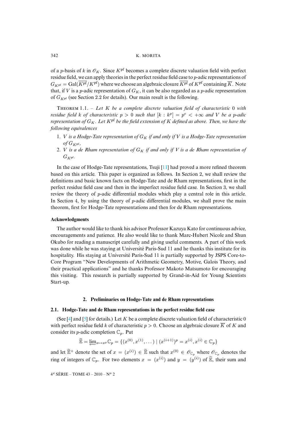of a *p*-basis of k in  $\mathcal{O}_K$ . Since K<sup>pf</sup> becomes a complete discrete valuation field with perfect residue field, we can apply theories in the perfect residue field case to p-adic representations of  $G_{Kp^f} = \text{Gal}(\overline{K^{pf}}/K^{pf})$  where we choose an algebraic closure  $\overline{K^{pf}}$  of  $K^{pf}$  containing  $\overline{K}$ . Note that, if V is a p-adic representation of  $G_K$ , it can be also regarded as a p-adic representation of  $G_{K<sup>pf</sup>}$  (see Section 2.2 for details). Our main result is the following.

THEOREM 1.1. - Let K be a complete discrete valuation field of characteristic 0 with *residue field* k of characteristic  $p > 0$  *such that*  $[k : k^p] = p^e < +\infty$  and V be a p-adic *representation of*  $G_K$ . Let  $K^{pf}$  be the field extension of K defined as above. Then, we have the *following equivalences*

- 1. *V* is a Hodge-Tate representation of  $G_K$  if and only if V is a Hodge-Tate representation  $of$   $G_{Kpf}$ ,
- 2. *V is a de Rham representation of*  $G_K$  *if and only if V is a de Rham representation of*  $G_{K<sup>pf</sup>}.$

In the case of Hodge-Tate representations, Tsuji [\[11\]](#page-15-5) had proved a more refined theorem based on this article. This paper is organized as follows. In Section 2, we shall review the definitions and basic known facts on Hodge-Tate and de Rham representations, first in the perfect residue field case and then in the imperfect residue field case. In Section 3, we shall review the theory of p-adic differential modules which play a central role in this article. In Section 4, by using the theory of  $p$ -adic differential modules, we shall prove the main theorem, first for Hodge-Tate representations and then for de Rham representations.

#### **Acknowledgments**

The author would like to thank his advisor Professor Kazuya Kato for continuous advice, encouragements and patience. He also would like to thank Marc-Hubert Nicole and Shun Okubo for reading a manuscript carefully and giving useful comments. A part of this work was done while he was staying at Université Paris-Sud 11 and he thanks this institute for its hospitality. His staying at Université Paris-Sud 11 is partially supported by JSPS Core-to-Core Program "New Developments of Arithmetic Geometry, Motive, Galois Theory, and their practical applications" and he thanks Professor Makoto Matsumoto for encouraging this visiting. This research is partially supported by Grand-in-Aid for Young Scientists Start-up.

#### **2. Preliminaries on Hodge-Tate and de Rham representations**

#### **2.1. Hodge-Tate and de Rham representations in the perfect residue field case**

(See [\[4\]](#page-15-6) and [\[5\]](#page-15-7) for details.) Let K be a complete discrete valuation field of characteristic 0 with perfect residue field k of characteristic  $p > 0$ . Choose an algebraic closure  $\overline{K}$  of K and consider its *p*-adic completion  $\mathbb{C}_p$ . Put

$$
\widetilde{\mathbb{E}} = \underleftarrow{\lim}_{x \mapsto x^p} \mathbb{C}_p = \{ (x^{(0)}, x^{(1)}, \dots) \mid (x^{(i+1)})^p = x^{(i)}, x^{(i)} \in \mathbb{C}_p \}
$$

and let  $\mathbb{E}^+$  denote the set of  $x = (x^{(i)}) \in \mathbb{E}$  such that  $x^{(0)} \in \mathscr{O}_{\mathbb{C}_p}$  where  $\mathscr{O}_{\mathbb{C}_p}$  denotes the ring of integers of  $\mathbb{C}_p$ . For two elements  $x = (x^{(i)})$  and  $y = (y^{(i)})$  of  $\mathbb{E}$ , their sum and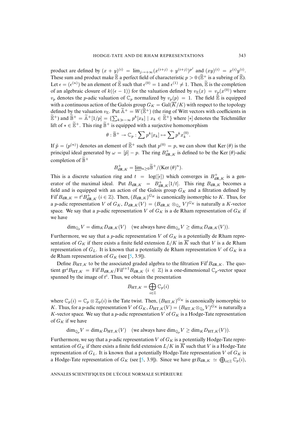product are defined by  $(x + y)^{(i)} = \lim_{j \to +\infty} (x^{(i+j)} + y^{(i+j)})^{p^j}$  and  $(xy)^{(i)} = x^{(i)}y^{(i)}$ . These sum and product make  $\widetilde{\mathbb{E}}$  a perfect field of characteristic  $p > 0$  ( $\widetilde{\mathbb{E}}^+$  is a subring of  $\widetilde{\mathbb{E}}$ ). Let  $\epsilon = (\epsilon^{(n)})$  be an element of  $\mathbb E$  such that  $\epsilon^{(0)} = 1$  and  $\epsilon^{(1)} \neq 1$ . Then,  $\mathbb E$  is the completion of an algebraic closure of  $k((\epsilon - 1))$  for the valuation defined by  $v_E(x) = v_p(x^{(0)})$  where  $v_p$  denotes the p-adic valuation of  $\mathbb{C}_p$  normalized by  $v_p(p)=1$ . The field  $\widetilde{\mathbb{E}}$  is equipped with a continuous action of the Galois group  $G_K = \text{Gal}(\overline{K}/K)$  with respect to the topology defined by the valuation  $v_{\mathbb{E}}$ . Put  $\mathbb{A}^+ = W(\mathbb{E}^+)$  (the ring of Witt vectors with coefficients in  $(\widetilde{\mathbb{E}}^{+})$  and  $\widetilde{\mathbb{B}}^{+} = \widetilde{\mathbb{A}}^{+}[1/p] = \{ \sum_{k \gg -\infty} p^{k}[x_k] \mid x_k \in \widetilde{\mathbb{E}}^{+} \}$  where  $[*]$  denotes the Teichmüller lift of  $* \in \tilde{\mathbb{E}}^+$ . This ring  $\tilde{\mathbb{B}}^+$  is equipped with a surjective homomorphism

$$
\theta : \widetilde{\mathbb{B}}^+ \to \mathbb{C}_p : \sum p^k [x_k] \mapsto \sum p^k x_k^{(0)}.
$$

If  $\tilde{p} = (p^{(n)})$  denotes an element of  $\mathbb{E}^+$  such that  $p^{(0)} = p$ , we can show that Ker $(\theta)$  is the principal ideal generated by  $\omega = [\tilde{p}] - p$ . The ring  $B_{dR,K}^+$  is defined to be the Ker( $\theta$ )-adic completion of  $\widetilde{\mathbb{B}}^+$ 

$$
B_{\mathrm{dR},K}^+ = \underleftarrow{\lim}_{n \geq 0} \widetilde{\mathbb{B}}^+ / (\mathrm{Ker} \, (\theta)^n).
$$

This is a discrete valuation ring and  $t = \log([\epsilon])$  which converges in  $B_{dR,K}^+$  is a generator of the maximal ideal. Put  $B_{dR,K} = B_{dR,K}^+ [1/t]$ . This ring  $B_{dR,K}$  becomes a field and is equipped with an action of the Galois group  $G_K$  and a filtration defined by  $\text{Fil}^i B_{\text{dR},K} = t^i B_{\text{dR},K}^+$  ( $i \in \mathbb{Z}$ ). Then,  $(B_{\text{dR},K})^{G_K}$  is canonically isomorphic to K. Thus, for a p-adic representation V of  $G_K$ ,  $D_{dR,K}(V) = (B_{dR,K} \otimes_{\mathbb{Q}_p} V)^{G_K}$  is naturally a K-vector space. We say that a p-adic representation V of  $G_K$  is a de Rham representation of  $G_K$  if we have

$$
\dim_{\mathbb{Q}_p} V = \dim_K D_{\mathrm{dR}, K}(V) \quad \text{(we always have } \dim_{\mathbb{Q}_p} V \ge \dim_K D_{\mathrm{dR}, K}(V).
$$

Furthermore, we say that a *p*-adic representation V of  $G_K$  is a potentially de Rham representation of  $G_K$  if there exists a finite field extension  $L/K$  in  $\overline{K}$  such that V is a de Rham representation of  $G_L$ . It is known that a potentially de Rham representation V of  $G_K$  is a de Rham representation of  $G_K$  (see [\[5,](#page-15-7) 3.9]).

Define  $B_{\text{HT},K}$  to be the associated graded algebra to the filtration Fil<sup>i</sup> $B_{\text{dR},K}$ . The quotient gr<sup>i</sup> $B_{\text{HT},K}$  = Fil<sup>i</sup> $B_{\text{dR},K}/\text{Fil}^{i+1}B_{\text{dR},K}$  ( $i \in \mathbb{Z}$ ) is a one-dimensional  $\mathbb{C}_p$ -vector space spanned by the image of  $t^i$ . Thus, we obtain the presentation

$$
B_{\mathrm{HT},K} = \bigoplus_{i \in \mathbb{Z}} \mathbb{C}_p(i)
$$

where  $\mathbb{C}_p(i) = \mathbb{C}_p \otimes \mathbb{Z}_p(i)$  is the Tate twist. Then,  $(B_{\text{HT},K})^{G_K}$  is canonically isomorphic to K. Thus, for a p-adic representation V of  $G_K$ ,  $D_{\text{HT},K}(V) = (B_{\text{HT},K} \otimes_{\mathbb{Q}_p} V)^{G_K}$  is naturally a K-vector space. We say that a p-adic representation V of  $G_K$  is a Hodge-Tate representation of  $G_K$  if we have

 $\dim_{\mathbb{Q}_p} V = \dim_K D_{\text{HT},K}(V)$  (we always have  $\dim_{\mathbb{Q}_p} V \ge \dim_K D_{\text{HT},K}(V)$ ).

Furthermore, we say that a p-adic representation V of  $G_K$  is a potentially Hodge-Tate representation of  $G_K$  if there exists a finite field extension  $L/K$  in  $\overline{K}$  such that V is a Hodge-Tate representation of  $G_L$ . It is known that a potentially Hodge-Tate representation V of  $G_K$  is a Hodge-Tate representation of  $G_K$  (see [\[5,](#page-15-7) 3.9]). Since we have  $grB_{dR,K} \simeq \bigoplus_{i \in \mathbb{Z}} \mathbb{C}_p(i)$ ,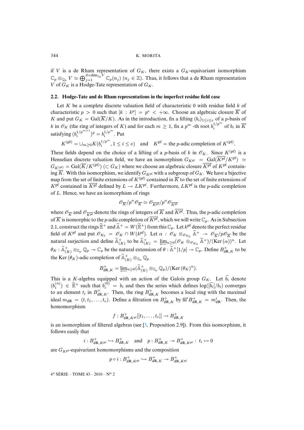if V is a de Rham representation of  $G_K$ , there exists a  $G_K$ -equivariant isomorphism  $\mathbb{C}_p \otimes_{\mathbb{Q}_p} V \simeq \bigoplus_{j=1}^{d=\dim_{\mathbb{Q}_p} V} \mathbb{C}_p(n_j)$   $(n_j \in \mathbb{Z})$ . Thus, it follows that a de Rham representation V of  $G_K$  is a Hodge-Tate representation of  $G_K$ .

#### **2.2. Hodge-Tate and de Rham representations in the imperfect residue field case**

Let K be a complete discrete valuation field of characteristic 0 with residue field  $k$  of characteristic  $p > 0$  such that  $[k : k^p] = p^e < +\infty$ . Choose an algebraic closure  $\overline{K}$  of K and put  $G_K = \text{Gal}(\overline{K}/K)$ . As in the introduction, fix a lifting  $(b_i)_{1 \le i \le e}$  of a p-basis of k in  $\mathcal{O}_K$  (the ring of integers of K) and for each  $m \geq 1$ , fix a  $p^m$  -th root  $b_i^{1/p^m}$  of  $b_i$  in  $\overline{K}$ satisfying  $(b_i^{1/p^{m+1}})^p = b_i^{1/p^m}$ . Put

$$
K^{(\text{pf})} = \bigcup_{m \ge 0} K(b_i^{1/p^m}, 1 \le i \le e) \quad \text{and} \quad K^{\text{pf}} = \text{the } p\text{-adic completion of } K^{(\text{pf})}.
$$

These fields depend on the choice of a lifting of a p-basis of k in  $\mathcal{O}_K$ . Since K<sup>(pf)</sup> is a Henselian discrete valuation field, we have an isomorphism  $G_{K<sup>pf</sup>} = \text{Gal}(\overline{K^{pf}}/K^{pf}) \simeq$  $G_{K_{\bullet}^{\text{(pf)}}} = \text{Gal}(\overline{K}/K^{\text{(pf)}})$  ( $\subset G_K$ ) where we choose an algebraic closure  $\overline{K_{\bullet}^{\text{pf}}}$  of  $K_{\bullet}^{\text{pf}}$  containing  $\overline{K}$ . With this isomorphism, we identify  $G_{K<sup>pf</sup>}$  with a subgroup of  $G_K$ . We have a bijective map from the set of finite extensions of  $K^{(pf)}$  contained in  $\overline{K}$  to the set of finite extensions of  $K^{\text{pf}}$  contained in  $\overline{K^{\text{pf}}}$  defined by  $L \to L K^{\text{pf}}$ . Furthermore,  $LK^{\text{pf}}$  is the p-adic completion of L. Hence, we have an isomorphism of rings

$$
\mathscr{O}_{\overline{K}}/p^n\mathscr{O}_{\overline{K}}\simeq \mathscr{O}_{\overline{K^\mathrm{pf}}}/p^n\mathscr{O}_{\overline{K^\mathrm{pf}}}
$$

where  $\mathscr{O}_{\overline{K}}$  and  $\mathscr{O}_{\overline{K{p}f}}$  denote the rings of integers of  $\overline{K}$  and  $\overline{K{p}f}$ . Thus, the *p*-adic completion of  $\overline{K}$  is isomorphic to the p-adic completion of  $\overline{K^{pf}}$ , which we will write  $\mathbb{C}_p$ . As in Subsection 2.1, construct the rings  $\widetilde{\mathbb{E}}^+$  and  $\widetilde{\mathbb{A}}^+ = W(\widetilde{\mathbb{E}}^+)$  from this  $\mathbb{C}_p$ . Let  $k^{\text{pf}}$  denote the perfect residue field of  $K^{pf}$  and put  $\mathscr{O}_{K_0} = \mathscr{O}_K \cap W(k^{pf})$ . Let  $\alpha : \mathscr{O}_K \otimes_{\mathscr{O}_{K_0}} \tilde{\mathbb{A}}^+ \to \mathscr{O}_{\overline{K}}/p\mathscr{O}_{\overline{K}}$  be the natural surjection and define  $\widetilde{A}_{(K)}^+$  to be  $\widetilde{A}_{(K)}^+ = \lim_{\varepsilon \to 0} n \geq 0$  ( $\mathscr{O}_K \otimes_{\mathscr{O}_{K_0}} \widetilde{A}^+$ )/(Ker $(\alpha)$ )<sup>n</sup>. Let  $\theta_K : \widetilde{\mathbb{A}}_{(K)}^+ \otimes_{\mathbb{Z}_p} \mathbb{Q}_p \twoheadrightarrow \mathbb{C}_p$  be the natural extension of  $\theta : \widetilde{\mathbb{A}}^+[1/p] \twoheadrightarrow \mathbb{C}_p$ . Define  $B^+_{\mathrm{dR},K}$  to be the Ker  $(\theta_K)$ -adic completion of  $\widetilde{\mathbb{A}}_{(K)}^+ \otimes_{\mathbb{Z}_p} \mathbb{Q}_p$ 

$$
B_{\mathrm{dR},K}^+ = \underleftarrow{\lim}_{n \geq 0} (\widetilde{\mathbb{A}}_{(K)}^+ \otimes_{\mathbb{Z}_p} \mathbb{Q}_p) / (\mathrm{Ker} \, (\theta_K)^n).
$$

This is a K-algebra equipped with an action of the Galois group  $G_K$ . Let  $b_i$  denote  $(b_i^{(n)}) \in \widetilde{\mathbb{E}}^+$  such that  $b_i^{(0)} = b_i$  and then the series which defines  $log([\widetilde{b}_i]/b_i)$  converges to an element  $t_i$  in  $B_{\text{dR},K}^+$ . Then, the ring  $B_{\text{dR},K}^+$  becomes a local ring with the maximal ideal  $m_{dR} = (t, t_1, \ldots, t_e)$ . Define a filtration on  $B_{dR,K}^+$  by fil<sup> $i B_{dR,K}^+ = m_{dR}^i$ . Then, the</sup> homomorphism

$$
f:B^+_{\mathrm{dR},K^{\mathrm{pf}}}[[t_1,\ldots,t_e]]\to B^+_{\mathrm{dR},K}
$$

is an isomorphism of filtered algebras (see  $[3,$  Proposition 2.9]). From this isomorphism, it follows easily that

 $i: B^+_{\mathrm{dR}, K^{\mathrm{pf}}} \hookrightarrow B^+_{\mathrm{dR}, K}$  and  $p: B^+_{\mathrm{dR}, K} \twoheadrightarrow B^+_{\mathrm{dR}, K^{\mathrm{pf}}}$ :  $t_i \mapsto 0$ 

are  $G_{K<sub>pf</sub>$ -equivariant homomorphisms and the composition

$$
p \circ i : B^+_{\mathrm{dR}, K^{\mathrm{pf}}} \hookrightarrow B^+_{\mathrm{dR}, K} \twoheadrightarrow B^+_{\mathrm{dR}, K^{\mathrm{pf}}}
$$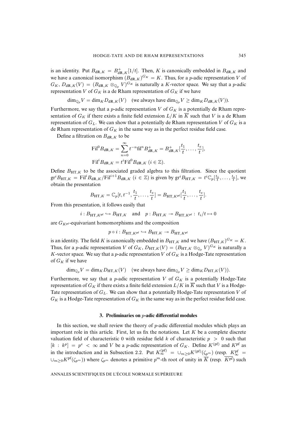is an identity. Put  $B_{dR,K} = B_{dR,K}^+[1/t]$ . Then, K is canonically embedded in  $B_{dR,K}$  and we have a canonical isomorphism  $(B_{dR,K})^{G_K} = K$ . Thus, for a *p*-adic representation V of  $G_K$ ,  $D_{dR,K}(V) = (B_{dR,K} \otimes_{\mathbb{Q}_p} V)^{G_K}$  is naturally a K-vector space. We say that a p-adic representation V of  $G_K$  is a de Rham representation of  $G_K$  if we have

 $\dim_{\mathbb{Q}_p} V = \dim_K D_{dR,K}(V)$  (we always have  $\dim_{\mathbb{Q}_p} V \ge \dim_K D_{dR,K}(V)$ ).

Furthermore, we say that a *p*-adic representation V of  $G_K$  is a potentially de Rham representation of  $G_K$  if there exists a finite field extension  $L/K$  in  $\overline{K}$  such that V is a de Rham representation of  $G_L$ . We can show that a potentially de Rham representation V of  $G_K$  is a de Rham representation of  $G_K$  in the same way as in the perfect residue field case.

Define a filtration on  $B_{\text{dR},K}$  to be

$$
\text{Fil}^{0}B_{\text{dR},K} = \sum_{n=0}^{\infty} t^{-n} \text{fil}^{n} B_{\text{dR},K}^{+} = B_{\text{dR},K}^{+} \left[ \frac{t_{1}}{t}, \ldots, \frac{t_{e}}{t} \right],
$$
  
\n
$$
\text{Fil}^{i} B_{\text{dR},K} = t^{i} \text{Fil}^{0} B_{\text{dR},K} \ (i \in \mathbb{Z}).
$$

Define  $B_{\text{HT},K}$  to be the associated graded algebra to this filtration. Since the quotient  $gr^iB_{\text{HT},K} = \text{Fil}^iB_{\text{dR},K}/\text{Fil}^{i+1}B_{\text{dR},K}$   $(i \in \mathbb{Z})$  is given by  $gr^iB_{\text{HT},K} = t^i\mathbb{C}_p[\frac{t_1}{t}, \ldots, \frac{t_e}{t}],$  we obtain the presentation

$$
B_{\mathrm{HT},K} = \mathbb{C}_p[t, t^{-1}, \frac{t_1}{t}, \dots, \frac{t_e}{t}] = B_{\mathrm{HT}, K^{\mathrm{pf}}}[\frac{t_1}{t}, \dots, \frac{t_e}{t}].
$$

From this presentation, it follows easily that

$$
i: B_{\text{HT}, K^{\text{pf}}}\hookrightarrow B_{\text{HT}, K}
$$
 and  $p: B_{\text{HT}, K}\twoheadrightarrow B_{\text{HT}, K^{\text{pf}}}: t_i/t \mapsto 0$ 

are  $G_{K<sub>pf</sub>}$ -equivariant homomorphisms and the composition

$$
p \circ i : B_{\mathrm{HT}, K^{\mathrm{pf}}} \hookrightarrow B_{\mathrm{HT}, K} \twoheadrightarrow B_{\mathrm{HT}, K^{\mathrm{pf}}}
$$

is an identity. The field K is canonically embedded in  $B_{\text{HT},K}$  and we have  $(B_{\text{HT},K})^{G_K} = K$ . Thus, for a *p*-adic representation V of  $G_K$ ,  $D_{\text{HT},K}(V) = (B_{\text{HT},K} \otimes_{\mathbb{Q}_p} V)^{G_K}$  is naturally a K-vector space. We say that a p-adic representation V of  $G_K$  is a Hodge-Tate representation of  $G_K$  if we have

 $\dim_{\mathbb{Q}_p} V = \dim_K D_{\text{HT},K}(V)$  (we always have  $\dim_{\mathbb{Q}_p} V \ge \dim_K D_{\text{HT},K}(V)$ ).

Furthermore, we say that a p-adic representation V of  $G_K$  is a potentially Hodge-Tate representation of  $G_K$  if there exists a finite field extension  $L/K$  in  $\overline{K}$  such that V is a Hodge-Tate representation of  $G_L$ . We can show that a potentially Hodge-Tate representation V of  $G_K$  is a Hodge-Tate representation of  $G_K$  in the same way as in the perfect residue field case.

#### **3. Preliminaries on** p**-adic differential modules**

In this section, we shall review the theory of  $p$ -adic differential modules which plays an important role in this article. First, let us fix the notations. Let  $K$  be a complete discrete valuation field of characteristic 0 with residue field k of characteristic  $p > 0$  such that  $[k : k^p] = p^e < \infty$  and V be a p-adic representation of  $G_K$ . Define  $K^{(pf)}$  and  $K^{pf}$  as in the introduction and in Subsection 2.2. Put  $K_{\infty}^{(pf)} = \cup_{m \geq 0} K^{(pf)}(\zeta_{p^m})$  (resp.  $K_{\infty}^{pf} =$  $\cup_{m>0} K<sup>pf</sup>(\zeta_{p^m})$ ) where  $\zeta_{p^m}$  denotes a primitive  $p^m$ -th root of unity in  $\overline{K}$  (resp.  $\overline{K^{pf}}$ ) such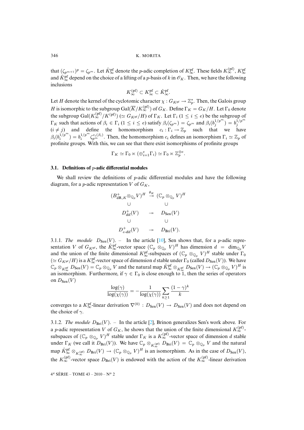that  $(\zeta_{p^{m+1}})^p = \zeta_{p^m}$ . Let  $\hat{K}_{\infty}^{\text{pf}}$  denote the *p*-adic completion of  $K_{\infty}^{\text{pf}}$ . These fields  $K_{\infty}^{\text{(pf)}}, K_{\infty}^{\text{pf}}$ and  $\hat{K}_{\infty}^{\text{pf}}$  depend on the choice of a lifting of a p-basis of k in  $\mathscr{O}_K$ . Then, we have the following inclusions

$$
K_{\infty}^{(\text{pf})} \subset K_{\infty}^{\text{pf}} \subset \hat{K}_{\infty}^{\text{pf}}.
$$

Let H denote the kernel of the cyclotomic character  $\chi: G_{K<sup>pf</sup>} \to \mathbb{Z}_p^*$ . Then, the Galois group H is isomorphic to the subgroup Gal( $\overline{K}/K_{\infty}^{(pf)}$ ) of  $G_K$ . Define  $\Gamma_K = G_K/H$ . Let  $\Gamma_0$  denote the subgroup Gal( $K_{\infty}^{(pf)}/K^{(pf)}$ ) ( $\simeq G_{K^{pf}}/H$ ) of  $\Gamma_K$ . Let  $\Gamma_i$  ( $1 \leq i \leq e$ ) be the subgroup of  $\Gamma_K$  such that actions of  $\beta_i \in \Gamma_i$   $(1 \leq i \leq e)$  satisfy  $\beta_i(\zeta_{p^m}) = \zeta_{p^m}$  and  $\beta_i(b_j^{1/p^m}) = b_j^{1/p^m}$  $(i \neq j)$  and define the homomorphism  $c_i : \Gamma_i \to \mathbb{Z}_p$  such that we have  $\beta_i(b_i^{1/p^m}) = b_i^{1/p^m} \zeta_{p^m}^{c_i(\beta_i)}$ . Then, the homomorphism  $c_i$  defines an isomorphism  $\Gamma_i \simeq \mathbb{Z}_p$  of profinite groups. With this, we can see that there exist isomorphisms of profinite groups

$$
\Gamma_K \simeq \Gamma_0 \ltimes (\oplus_{i=1}^e \Gamma_i) \simeq \Gamma_0 \ltimes \mathbb{Z}_p^{\oplus e}.
$$

#### **3.1. Definitions of** p**-adic differential modules**

We shall review the definitions of  $p$ -adic differential modules and have the following diagram, for a *p*-adic representation V of  $G_K$ ,

$$
(B_{\mathrm{dR},K}^+ \otimes_{\mathbb{Q}_p} V)^H \stackrel{\theta_K}{\rightarrow} (\mathbb{C}_p \otimes_{\mathbb{Q}_p} V)^H
$$
  
\n
$$
\cup \qquad \qquad \cup
$$
  
\n
$$
D_{\mathrm{dif}}^+(V) \rightarrow D_{\mathrm{Sen}}(V)
$$
  
\n
$$
\cup \qquad \qquad \cup
$$
  
\n
$$
D_{e\text{-dif}}^+(V) \rightarrow D_{\mathrm{Bri}}(V).
$$

3.1.1*. The module*  $D_{\text{Sen}}(V)$ . – In the article [\[10\]](#page-15-8), Sen shows that, for a p-adic representation V of  $G_{K<sup>pf</sup>}$ , the  $\hat{K}_{\infty}^{pf}$ -vector space  $(\mathbb{C}_p \otimes_{\mathbb{Q}_p} V)^H$  has dimension  $d = \dim_{\mathbb{Q}_p} V$ and the union of the finite dimensional  $K_{\infty}^{\text{pf}}$ -subspaces of  $(\mathbb{C}_p \otimes_{\mathbb{Q}_p} V)^H$  stable under  $\Gamma_0$  $(\simeq G_{K<sup>pf</sup>}/H)$  is a  $K^{\text{pf}}_{\infty}$ -vector space of dimension d stable under  $\Gamma_0$  (called  $D_{\text{Sen}}(V)$ ). We have  $\mathbb{C}_p \otimes_{K_{\infty}^{\text{pf}}} D_{\text{Sen}}(V) = \mathbb{C}_p \otimes_{\mathbb{Q}_p} V$  and the natural map  $\hat{K}_{\infty}^{\text{pf}} \otimes_{K_{\infty}^{\text{pf}}} D_{\text{Sen}}(V) \to (\mathbb{C}_p \otimes_{\mathbb{Q}_p} V)^H$  is an isomorphism. Furthermore, if  $\gamma \in \Gamma_0$  is close enough to 1, then the series of operators on  $D_{\text{Sen}}(V)$ 

$$
\frac{\log(\gamma)}{\log(\chi(\gamma))} = -\frac{1}{\log(\chi(\gamma))} \sum_{k \ge 1} \frac{(1-\gamma)^k}{k}
$$

converges to a  $K_{\infty}^{\text{pf}}$ -linear derivation  $\nabla^{(0)} : D_{\text{Sen}}(V) \to D_{\text{Sen}}(V)$  and does not depend on the choice of  $\gamma$ .

3.1.2*. The module*  $D_{\text{Bri}}(V)$ . – In the article [\[2\]](#page-15-9), Brinon generalizes Sen's work above. For a p-adic representation V of  $G_K$ , he shows that the union of the finite dimensional  $K^{(pf)}_{\infty}$ . subspaces of  $(\mathbb{C}_p \otimes_{\mathbb{Q}_p} V)^H$  stable under  $\Gamma_K$  is a  $K_{\infty}^{(pf)}$ -vector space of dimension d stable under  $\Gamma_K$  (we call it  $D_{\text{Bri}}(V)$ ). We have  $\mathbb{C}_p \otimes_{K_{\infty}^{(p)}} D_{\text{Bri}}(V) = \mathbb{C}_p \otimes_{\mathbb{Q}_p} V$  and the natural map  $\hat{K}_{\infty}^{\text{pf}} \otimes_{K_{\infty}^{(\text{pf})}} D_{\text{Bri}}(V) \to (\mathbb{C}_p \otimes_{\mathbb{Q}_p} V)^H$  is an isomorphism. As in the case of  $D_{\text{Sen}}(V)$ , the  $K_{\infty}^{(pf)}$ -vector space  $D_{\text{Bri}}(V)$  is endowed with the action of the  $K_{\infty}^{(pf)}$ -linear derivation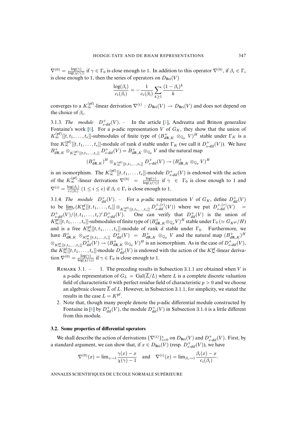$\nabla^{(0)} = \frac{\log(\gamma)}{\log(\chi(\gamma))}$  if  $\gamma \in \Gamma_0$  is close enough to 1. In addition to this operator  $\nabla^{(0)}$ , if  $\beta_i \in \Gamma_i$ is close enough to 1, then the series of operators on  $D_{\text{Bri}}(V)$ 

$$
\frac{\log(\beta_i)}{c_i(\beta_i)} = -\frac{1}{c_i(\beta_i)} \sum_{k \ge 1} \frac{(1 - \beta_i)^k}{k}
$$

converges to a  $K_{\infty}^{(pf)}$ -linear derivation  $\nabla^{(i)} : D_{\text{Bri}}(V) \to D_{\text{Bri}}(V)$  and does not depend on the choice of  $\beta_i$ .

3.1.3*. The module*  $D_{e\text{-dif}}^+(V)$ . – In the article [\[1\]](#page-15-10), Andreatta and Brinon generalize Fontaine's work [\[6\]](#page-15-11). For a *p*-adic representation V of  $G_K$ , they show that the union of  $K_{\infty}^{(pf)}[[t,t_1,\ldots,t_e]]$ -submodules of finite type of  $(B_{dR,K}^+\otimes_{\mathbb{Q}_p} V)^H$  stable under  $\Gamma_K$  is a free  $K_{\infty}^{(pf)}[[t, t_1, \ldots, t_e]]$ -module of rank d stable under  $\Gamma_K$  (we call it  $D^+_{e\text{-dif}}(V)$ ). We have  $B_{{\rm dR},K}^+\otimes_{K^{(pf)}_\infty[[t,t_1,...,t_e]]}D_{e\text{-dif}}^+(V)=B_{{\rm dR},K}^+\otimes_{\mathbb{Q}_p}V$  and the natural map

$$
(B_{\mathrm{dR},K}^+)^H \otimes_{K_{\infty}^{(p)}[[t,t_1,\ldots,t_e]]} D_{e\text{-dif}}^+(V) \to (B_{\mathrm{dR},K}^+ \otimes_{\mathbb{Q}_p} V)^H
$$

is an isomorphism. The  $K_{\infty}^{(pf)}[[t, t_1, \ldots, t_e]]$ -module  $D^+_{e\text{-dif}}(V)$  is endowed with the action of the  $K_{\infty}^{(pf)}$ -linear derivations  $\nabla^{(0)} = \frac{\log(\gamma)}{\log(\chi(\gamma))}$  if  $\gamma \in \Gamma_0$  is close enough to 1 and  $\nabla^{(i)} = \frac{\log(\beta_i)}{c_i(\beta_i)}$  (1  $\leq i \leq e$ ) if  $\beta_i \in \Gamma_i$  is close enough to 1.

3.1.4*. The module*  $D_{\text{dif}}^+(V)$ . – For a *p*-adic representation V of  $G_K$ , define  $D_{\text{dif}}^+(V)$ to be  $\lim_{r \to \infty} [K_{\infty}^{\text{pf}}[[t, t_1, \ldots, t_e]] \otimes_{K_{\infty}^{\text{(pf)}}[[t, t_1, \ldots, t_e]]} D_{e-\text{dif}}^{+,(r)}(V))$  where we put  $D_{e-\text{dif}}^{+,(r)}(V) =$  $D_{e\text{-diff}}^+(V)/(t,t_1,\ldots,t_e)^r D_{e\text{-diff}}^+(V)$ . One can verify that  $D_{\text{diff}}^+(V)$  is the union of  $K_\infty^{\rm pf}[[t,t_1,\ldots,t_e]]$ -submodules of finite type of  $(B_{\mathrm{dR},K}^+\otimes_{\mathbb{Q}_p}V)^H$  stable under  $\Gamma_0 \ (\simeq G_{K^{\rm pf}}/H)$ and is a free  $K^{\text{pf}}_{\infty}[[t, t_1, \ldots, t_e]]$ -module of rank d stable under  $\Gamma_0$ . Furthermore, we have  $B^+_{dR,K} \otimes_{K^{\text{pf}}_{\infty}[[t,t_1,\ldots,t_e]]} D^+_{dif}(V) = B^+_{dR,K} \otimes_{\mathbb{Q}_p} V$  and the natural map  $(B^+_{dR,K})^H$  $\otimes_{K_{\infty}^{\text{pf}}[[t,t_1,\ldots,t_e]]} D_{\text{dif}}^+(V) \to (B_{\text{dR},K}^+ \otimes_{\mathbb{Q}_p} V)^H$  is an isomorphism. As in the case of  $D_{e-\text{dif}}^+(V)$ , the  $K_{\infty}^{\text{pf}}[[t, t_1, \dots, t_e]]$ -module  $D_{\text{dif}}^+(V)$  is endowed with the action of the  $K_{\infty}^{\text{pf}}$ -linear derivation  $\nabla^{(0)} = \frac{\log(\gamma)}{\log(x(\gamma))}$  if  $\gamma \in \Gamma_0$  is close enough to 1.

- REMARK 3.1.  $-$  1. The preceding results in Subsection 3.1.1 are obtained when V is a p-adic representation of  $G_L = \text{Gal}(\overline{L}/L)$  where L is a complete discrete valuation field of characteristic 0 with perfect residue field of characteristic  $p > 0$  and we choose an algebraic closure  $\overline{L}$  of L. However, in Subsection 3.1.1, for simplicity, we stated the results in the case  $L = K<sup>pf</sup>$ .
- 2. Note that, though many people denote the  $p$ -adic differential module constructed by Fontaine in [\[6\]](#page-15-11) by  $D_{\text{dif}}^{+}(V)$ , the module  $D_{\text{dif}}^{+}(V)$  in Subsection 3.1.4 is a little different from this module.

#### **3.2. Some properties of differential operators**

We shall describe the action of derivations  $\{\nabla^{(i)}\}_{i=0}^e$  on  $D_{\text{Bri}}(V)$  and  $D_{e-\text{dif}}^+(V)$ . First, by a standard argument, we can show that, if  $x \in D_{\text{Bri}}(V)$  (resp.  $D_{e-\text{dif}}^+(V)$ ), we have

$$
\nabla^{(0)}(x) = \lim_{\gamma \to 1} \frac{\gamma(x) - x}{\chi(\gamma) - 1} \quad \text{and} \quad \nabla^{(i)}(x) = \lim_{\beta_i \to 1} \frac{\beta_i(x) - x}{c_i(\beta_i)}.
$$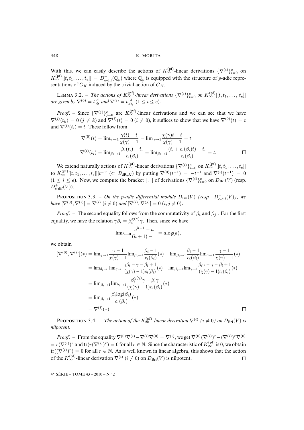With this, we can easily describe the actions of  $K_{\infty}^{(pf)}$ -linear derivations  $\{\nabla^{(i)}\}_{i=0}^e$  on  $K_{\infty}^{(pf)}[[t,t_1,\ldots,t_e]] = D_{e\text{-dif}}^+(\mathbb{Q}_p)$  where  $\mathbb{Q}_p$  is equipped with the structure of p-adic representations of  $G_K$  induced by the trivial action of  $G_K$ .

LEMMA 3.2. – *The actions of*  $K_{\infty}^{(pf)}$ -linear derivations  $\{\nabla^{(i)}\}_{i=0}^e$  on  $K_{\infty}^{(pf)}[[t, t_1, \ldots, t_e]]$ *are given by*  $\nabla^{(0)} = t \frac{d}{dt}$  *and*  $\nabla^{(i)} = t \frac{d}{dt_i}$   $(1 \le i \le e)$ .

*Proof.* – Since  $\{\nabla^{(j)}\}_{j=0}^e$  are  $K_{\infty}^{(pf)}$ -linear derivations and we can see that we have  $\nabla^{(j)}(t_k) = 0$   $(j \neq k)$  and  $\nabla^{(i)}(t) = 0$   $(i \neq 0)$ , it suffices to show that we have  $\nabla^{(0)}(t) = t$ and  $\nabla^{(i)}(t_i) = t$ . These follow from

$$
\nabla^{(0)}(t) = \lim_{\gamma \to 1} \frac{\gamma(t) - t}{\chi(\gamma) - 1} = \lim_{\gamma \to 1} \frac{\chi(\gamma)t - t}{\chi(\gamma) - 1} = t
$$
  

$$
\nabla^{(i)}(t_i) = \lim_{\beta_i \to 1} \frac{\beta_i(t_i) - t_i}{c_i(\beta_i)} = \lim_{\beta_i \to 1} \frac{(t_i + c_i(\beta_i)t) - t_i}{c_i(\beta_i)} = t.
$$

We extend naturally actions of  $K_{\infty}^{(pf)}$ -linear derivations  $\{\nabla^{(i)}\}_{i=0}^e$  on  $K_{\infty}^{(pf)}[[t, t_1, \ldots, t_e]]$ to  $K_{\infty}^{(pf)}[[t,t_1,\ldots,t_e]][t^{-1}]$  ( $\subset B_{dR,K}$ ) by putting  $\nabla^{(0)}(t^{-1}) = -t^{-1}$  and  $\nabla^{(i)}(t^{-1}) = 0$  $(1 \le i \le e)$ . Now, we compute the bracket [, ] of derivations  $\{\nabla^{(i)}\}_{i=0}^e$  on  $D_{\text{Bri}}(V)$  (resp.  $D^+_{e\text{-dif}}(V)$ ).

**PROPOSITION 3.3.** – *On the p-adic differential module*  $D_{\text{Bri}}(V)$  *(resp.*  $D^+_{e\text{-dif}}(V)$ *)*, we *have*  $[\nabla^{(0)}, \nabla^{(i)}] = \nabla^{(i)} (i \neq 0)$  *and*  $[\nabla^{(i)}, \nabla^{(j)}] = 0$   $(i, j \neq 0)$ .

*Proof.* – The second equality follows from the commutativity of  $\beta_i$  and  $\beta_j$ . For the first equality, we have the relation  $\gamma \beta_i = \beta_i^{\chi(\gamma)} \gamma$ . Then, since we have

$$
\lim_{h \to 0} \frac{a^{h+1} - a}{(h+1) - 1} = a \log(a),
$$

we obtain

$$
\begin{split}\n[\nabla^{(0)}, \nabla^{(i)}](*) &= \lim_{\gamma \to 1} \frac{\gamma - 1}{\chi(\gamma) - 1} \lim_{\beta_i \to 1} \frac{\beta_i - 1}{c_i(\beta_i)} (*) - \lim_{\beta_i \to 1} \frac{\beta_i - 1}{c_i(\beta_i)} \lim_{\gamma \to 1} \frac{\gamma - 1}{\chi(\gamma) - 1} (*) \\
&= \lim_{\beta_i \to 1} \lim_{\gamma \to 1} \frac{\gamma \beta_i - \gamma - \beta_i + 1}{(\chi(\gamma) - 1)c_i(\beta_i)} (*) - \lim_{\beta_i \to 1} \lim_{\gamma \to 1} \frac{\beta_i \gamma - \gamma - \beta_i + 1}{(\chi(\gamma) - 1)c_i(\beta_i)} (*) \\
&= \lim_{\beta_i \to 1} \lim_{\gamma \to 1} \frac{\beta_i^{\chi(\gamma)} \gamma - \beta_i \gamma}{(\chi(\gamma) - 1)c_i(\beta_i)} (*) \\
&= \lim_{\beta_i \to 1} \frac{\beta_i \log(\beta_i)}{c_i(\beta_i)} (*) \\
&= \nabla^{(i)}(*).\n\end{split}
$$

**PROPOSITION** 3.4. – *The action of the*  $K_{\infty}^{(pf)}$ -linear derivation  $\nabla^{(i)}$  ( $i \neq 0$ ) on  $D_{\text{Bri}}(V)$  is *nilpotent.*

*Proof.* – From the equality  $\nabla^{(0)}\nabla^{(i)} - \nabla^{(i)}\nabla^{(0)} = \nabla^{(i)}$ , we get  $\nabla^{(0)}(\nabla^{(i)})^r - (\nabla^{(i)})^r\nabla^{(0)}$  $= r(\nabla^{(i)})^r$  and tr $(r(\nabla^{(i)})^r) = 0$  for all  $r \in \mathbb{N}$ . Since the characteristic of  $K^{(pf)}_{\infty}$  is 0, we obtain  $tr((\nabla^{(i)})^r) = 0$  for all  $r \in \mathbb{N}$ . As is well known in linear algebra, this shows that the action of the  $K_{\infty}^{(pf)}$ -linear derivation  $\nabla^{(i)}$  ( $i \neq 0$ ) on  $D_{\text{Bri}}(V)$  is nilpotent.  $\Box$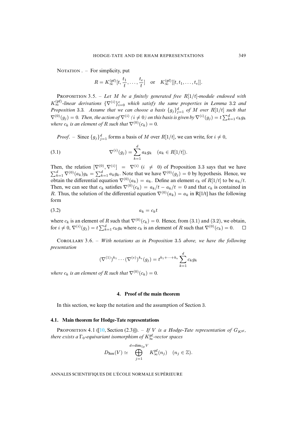$NOTATION - For simplicity, put$ 

$$
R = K_{\infty}^{(\text{pf})}[t, \frac{t_1}{t}, \dots, \frac{t_e}{t}] \quad \text{or} \quad K_{\infty}^{(\text{pf})}[[t, t_1, \dots, t_e]].
$$

PROPOSITION 3.5. – Let  $M$  be a finitely generated free  $R[1/t]$ -module endowed with  $K_{\infty}^{(pf)}$ -linear derivations  $\{\nabla^{(i)}\}_{i=0}^e$  which satisfy the same properties in Lemma 3.2 and *Proposition* 3.3*.* Assume that we can choose a basis  ${g_j}_{j=1}^d$  of M over R[1/t] such that  $\nabla^{(0)}(g_j) = 0$ . Then, the action of  $\nabla^{(i)}$  ( $i \neq 0$ ) on this basis is given by  $\nabla^{(i)}(g_j) = t \sum_{k=1}^d c_k g_k$ *where*  $c_k$  *is an element of*  $R$  *such that*  $\nabla^{(0)}(c_k)=0$ *.* 

*Proof.* – Since  $\{g_j\}_{j=1}^d$  forms a basis of M over  $R[1/t]$ , we can write, for  $i \neq 0$ ,

(3.1) 
$$
\nabla^{(i)}(g_j) = \sum_{k=1}^d a_k g_k \quad (a_k \in R[1/t]).
$$

Then, the relation  $[\nabla^{(0)}, \nabla^{(i)}] = \nabla^{(i)} (i \neq 0)$  of Proposition 3.3 says that we have  $\sum_{k=1}^{d} \nabla^{(0)}(a_k) g_k = \sum_{k=1}^{d} a_k g_k$ . Note that we have  $\nabla^{(0)}(g_j) = 0$  by hypothesis. Hence, we obtain the differential equation  $\nabla^{(0)}(a_k) = a_k$ . Define an element  $c_k$  of  $R[1/t]$  to be  $a_k/t$ . Then, we can see that  $c_k$  satisfies  $\nabla^{(0)}(c_k) = a_k/t - a_k/t = 0$  and that  $c_k$  is contained in R. Thus, the solution of the differential equation  $\nabla^{(0)}(a_k) = a_k$  in R[1/t] has the following form

$$
(3.2) \t\t\t a_k = c_k t
$$

where  $c_k$  is an element of R such that  $\nabla^{(0)}(c_k)=0$ . Hence, from (3.1) and (3.2), we obtain, for  $i \neq 0$ ,  $\nabla^{(i)}(g_j) = t \sum_{k=1}^d c_k g_k$  where  $c_k$  is an element of R such that  $\nabla^{(0)}(c_k) = 0$ .  $\Box$ 

Cʀʟʟʀʏ 3.6. – *With notations as in Proposition* 3.5 *above, we have the following presentation*

$$
(\nabla^{(1)})^{k_1} \cdots (\nabla^{(e)})^{k_e} (g_j) = t^{k_1 + \cdots + k_e} \sum_{k=1}^d c_k g_k
$$

*where*  $c_k$  *is an element of*  $R$  *such that*  $\nabla^{(0)}(c_k)=0$ *.* 

#### **4. Proof of the main theorem**

In this section, we keep the notation and the assumption of Section 3.

#### **4.1. Main theorem for Hodge-Tate representations**

PROPOSITION 4.1 ([\[10,](#page-15-8) Section (2.3)]). – If V is a Hodge-Tate representation of  $G_{Kp^f}$ , *there exists a*  $\Gamma_0$ -equivariant isomorphism of  $K_\infty^\mathrm{pf}$ -vector spaces

$$
D_{\text{Sen}}(V) \simeq \bigoplus_{j=1}^{d=\dim_{\mathbb{Q}_p} V} K_{\infty}^{\text{pf}}(n_j) \quad (n_j \in \mathbb{Z}).
$$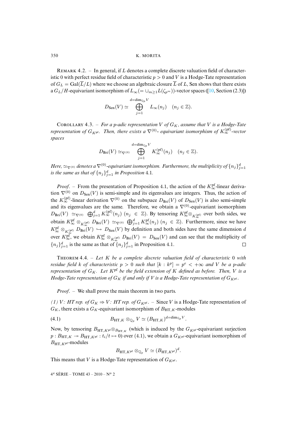REMARK 4.2. – In general, if L denotes a complete discrete valuation field of characteristic 0 with perfect residue field of characteristic  $p > 0$  and V is a Hodge-Tate representation of  $G_L = \text{Gal}(\overline{L}/L)$  where we choose an algebraic closure  $\overline{L}$  of L, Sen shows that there exists a  $G_L/H$ -equivariant isomorphism of  $L_\infty (= \cup_{m\geq 1} L(\zeta_{p^m}))$ -vector spaces ([\[10,](#page-15-8) Section (2.3)])

$$
D_{\text{Sen}}(V) \simeq \bigoplus_{j=1}^{d=\dim_{\mathbb{Q}_p} V} L_{\infty}(n_j) \quad (n_j \in \mathbb{Z}).
$$

COROLLARY 4.3. – *For a p-adic representation* V of  $G_K$ , assume that V is a Hodge-Tate *representation of*  $G_{Kp^f}$ *. Then, there exists a*  $\nabla^{(0)}$ *-equivariant isomorphism of*  $K_{\infty}^{(pf)}$ *-vector spaces*

$$
D_{\mathrm{Bri}}(V) \simeq_{\nabla^{(0)}} \bigoplus_{j=1}^{d = \dim_{\mathbb{Q}_p} V} K_{\infty}^{(\mathrm{pf})}(n_j) \quad (n_j \in \mathbb{Z}).
$$

*Here,*  $\simeq_{\nabla^{(0)}}$  *denotes a*  $\nabla^{(0)}$ -equivariant isomorphism. Furthermore, the multiplicity of  $\{n_j\}_{j=1}^d$ *is the same as that of*  $\{n_j\}_{j=1}^d$  *in Proposition* 4.1.

*Proof.* – From the presentation of Proposition 4.1, the action of the  $K_{\infty}^{\text{pf}}$ -linear derivation  $\nabla^{(0)}$  on  $D_{\text{Sen}}(V)$  is semi-simple and its eigenvalues are integers. Thus, the action of the  $K_{\infty}^{(pf)}$ -linear derivation  $\nabla^{(0)}$  on the subspace  $D_{\text{Bri}}(V)$  of  $D_{\text{Sen}}(V)$  is also semi-simple and its eigenvalues are the same. Therefore, we obtain a  $\nabla^{(0)}$ -equivariant isomorphism  $D_{\text{Bri}}(V) \simeq_{\nabla^{(0)}} \bigoplus_{j=1}^d K_{\infty}^{(\text{pf})}(n_j)$   $(n_j \in \mathbb{Z})$ . By tensoring  $K_{\infty}^{\text{pf}} \otimes_{K_{\infty}^{(\text{pf})}}$  over both sides, we obtain  $K^{\text{pf}}_{\infty} \otimes_{K_{\infty}^{(\text{pf})}} D_{\text{Bri}}(V) \simeq_{\nabla^{(0)}} \bigoplus_{j=1}^{d} K^{\text{pf}}_{\infty}(n_j)$   $(n_j \in \mathbb{Z})$ . Furthermore, since we have  $K_{\infty}^{\text{pf}} \otimes_{K_{\infty}^{\text{(pf)}}} D_{\text{Bri}}(V) \hookrightarrow D_{\text{Sen}}(V)$  by definition and both sides have the same dimension d over  $K^{\text{pr}}_{\infty}$ , we obtain  $K^{\text{pr}}_{\infty} \otimes_{K^{\text{pr}}_{\infty}} D_{\text{Bri}}(V) = D_{\text{Sen}}(V)$  and can see that the multiplicity of  ${n_j}_{j=1}^d$  is the same as that of  ${n_j}_{j=1}^d$  in Proposition 4.1.  $\Box$ 

THEOREM 4.4. – Let K be a complete discrete valuation field of characteristic 0 with *residue field* k of characteristic  $p > 0$  *such that*  $[k : k^p] = p^e < +\infty$  and V be a p-adic *representation of*  $G_K$ . Let  $K^{\text{pf}}$  *be the field extension of* K *defined as before. Then,* V *is a Hodge-Tate representation of*  $G_K$  *if and only if* V is a Hodge-Tate representation of  $G_{Kp^f}$ .

*Proof*. – We shall prove the main theorem in two parts.

*(1) V : HT rep. of*  $G_K \Rightarrow V$  *: HT rep. of*  $G_{K<sup>pf</sup>}$  – Since *V* is a Hodge-Tate representation of  $G_K$ , there exists a  $G_K$ -equivariant isomorphism of  $B_{\text{HT},K}$ -modules

(4.1) 
$$
B_{\mathrm{HT},K}\otimes_{\mathbb{Q}_p} V \simeq (B_{\mathrm{HT},K})^{d=\dim_{\mathbb{Q}_p} V}.
$$

Now, by tensoring  $B_{\text{HT},K^{pr}} \otimes_{B_{\text{HT},K}}$  (which is induced by the  $G_{K^{pr}}$ -equivariant surjection  $p: B_{\text{HT},K} \twoheadrightarrow B_{\text{HT},K^{\text{pf}}}: t_i/t \mapsto 0$  over (4.1), we obtain a  $G_{K^{\text{pf}}}$ -equivariant isomorphism of  $B_{\text{HT},K}$ <sup>pf</sup>-modules

$$
B_{\mathrm{HT}, K^{\mathrm{pf}}} \otimes_{\mathbb{Q}_p} V \simeq (B_{\mathrm{HT}, K^{\mathrm{pf}}})^d.
$$

This means that V is a Hodge-Tate representation of  $G_{K<sup>pf</sup>}$ .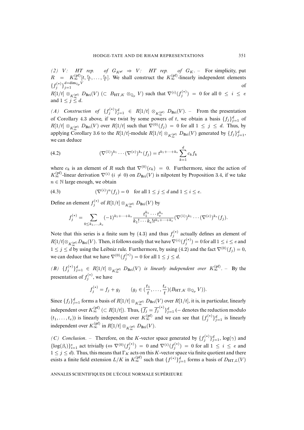*(2)* V:  $HT$  rep. of  $G_{K<sup>pf</sup>} \Rightarrow V$ :  $HT$  rep. of  $G_K$ . – For simplicity, put  $R = K_{\infty}^{(pf)}[t, \frac{t_1}{t}, \ldots, \frac{t_e}{t}]$ . We shall construct the  $K_{\infty}^{(pf)}$ -linearly independent elements  ${f_j^{(*)}}_{j=1}^{d=\dim_{\mathbb{Q}_p} V}$  of  $R[1/t] \otimes_{K_{\infty}^{(pf)}} D_{\text{Bri}}(V) \ (\subset B_{\text{HT},K} \otimes_{\mathbb{Q}_p} V)$  such that  $\nabla^{(i)}(f_j^{(*)}) = 0$  for all  $0 \le i \le e$ and  $1 \leq j \leq d$ .

*(A)* Construction of  $\{f_j^{(*)}\}_{j=1}^d \in R[1/t] \otimes_{K_{\infty}^{(p)}} D_{\text{Bri}}(V)$ . – From the presentation of Corollary 4.3 above, if we twist by some powers of t, we obtain a basis  $\{f_j\}_{j=1}^d$  of  $R[1/t] \otimes_{K_{\infty}^{(pf)}} D_{\text{Bri}}(V)$  over  $R[1/t]$  such that  $\nabla^{(0)}(f_j) = 0$  for all  $1 \le j \le d$ . Thus, by applying Corollary 3.6 to the  $R[1/t]$ -module  $R[1/t] \otimes_{K_{\infty}^{(p\mathfrak{f})}} D_{\text{Bri}}(V)$  generated by  $\{f_j\}_{j=1}^d$ , ∞ we can deduce

(4.2) 
$$
(\nabla^{(1)})^{k_1} \cdots (\nabla^{(e)})^{k_e} (f_j) = t^{k_1 + \cdots + k_e} \sum_{k=1}^d c_k f_k
$$

where  $c_k$  is an element of R such that  $\nabla^{(0)}(c_k) = 0$ . Furthermore, since the action of  $K_{\infty}^{(pf)}$ -linear derivation  $\nabla^{(i)}$  ( $i \neq 0$ ) on  $D_{\text{Bri}}(V)$  is nilpotent by Proposition 3.4, if we take  $n \in \mathbb{N}$  large enough, we obtain

(4.3) 
$$
(\nabla^{(i)})^n(f_j) = 0 \text{ for all } 1 \leq j \leq d \text{ and } 1 \leq i \leq e.
$$

Define an element  $f_j^{(*)}$  of  $R[1/t] \otimes_{K_{\infty}^{(p f)}} D_{\text{Bri}}(V)$  by ∞

$$
f_j^{(*)} = \sum_{0 \leq k_1, \ldots, k_e} (-1)^{k_1 + \cdots + k_e} \frac{t_1^{k_1} \cdots t_e^{k_e}}{k_1! \cdots k_e! t^{k_1 + \cdots + k_e}} (\nabla^{(1)})^{k_1} \cdots (\nabla^{(e)})^{k_e} (f_j).
$$

Note that this series is a finite sum by (4.3) and thus  $f_j^{(*)}$  actually defines an element of  $R[1/t]\otimes_{K^{(pf)}_\infty}D_{\mathrm{Bri}}(V)$ . Then, it follows easily that we have  $\nabla^{(i)}(f^{(*)}_j)=0$  for all  $1\leq i\leq e$  and  $1 \le j \le d$  by using the Leibniz rule. Furthermore, by using (4.2) and the fact  $\nabla^{(0)}(f_j) = 0$ , we can deduce that we have  $\nabla^{(0)}(f_j^{(*)}) = 0$  for all  $1 \le j \le d$ .

 $\mathcal{L}(B)$   $\{f_j^{(*)}\}_{j=1}^d$   $\in$   $R[1/t]$   $\otimes_{K_{\infty}^{(p\mathbf{f})}}$   $D_{\text{Bri}}(V)$  *is linearly independent over*  $K_{\infty}^{(p\mathbf{f})}$ . – By the ∞ presentation of  $f_j^{(*)}$ , we have

$$
f_j^{(*)} = f_j + g_j \qquad (g_j \in (\frac{t_1}{t}, \dots, \frac{t_e}{t})(B_{\text{HT}, K} \otimes_{\mathbb{Q}_p} V)).
$$

Since  $\{f_j\}_{j=1}^d$  forms a basis of  $R[1/t] \otimes_{K_{\infty}^{(p\mathbf{f})}} D_{\text{Bri}}(V)$  over  $R[1/t]$ , it is, in particular, linearly independent over  $K_{\infty}^{(pf)}$  (⊂  $R[1/t]$ ). Thus,  $\{\overline{f_j} = \overline{f_j}^{(*)}\}_{j=1}^d$  (– denotes the reduction modulo  $(t_1,\ldots,t_e)$ ) is linearly independent over  $K_{\infty}^{(pf)}$  and we can see that  $\{f_j^{(*)}\}_{j=1}^d$  is linearly independent over  $K_{\infty}^{(pf)}$  in  $R[1/t] \otimes_{K_{\infty}^{(pf)}} D_{\text{Bri}}(V)$ . ∞

*(C) Conclusion.* – Therefore, on the *K*-vector space generated by  $\{f_j^{(*)}\}_{j=1}^d$ ,  $\log(\gamma)$  and  $\{\log(\beta_i)\}_{i=1}^e$  act trivially  $(\Leftrightarrow \nabla^{(0)}(f_j^{(*)}) = 0$  and  $\nabla^{(i)}(f_j^{(*)}) = 0$  for all  $1 \le i \le e$  and  $1 \leq j \leq d$ ). Thus, this means that  $\Gamma_K$  acts on this K-vector space via finite quotient and there exists a finite field extension  $L/K$  in  $K_{\infty}^{(pf)}$  such that  $\{f^{(*)}\}_{j=1}^d$  forms a basis of  $D_{\text{HT},L}(V)$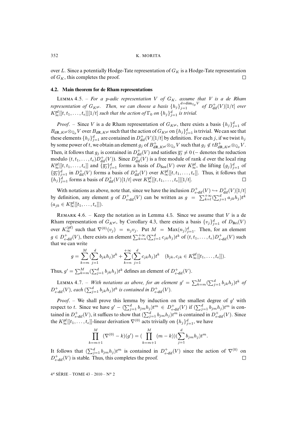over L. Since a potentially Hodge-Tate representation of  $G_K$  is a Hodge-Tate representation of  $G_K$ , this completes the proof.  $\Box$ 

#### **4.2. Main theorem for de Rham representations**

LEMMA 4.5. – *For a p-adic representation* V of  $G_K$ , assume that V is a de Rham *representation of*  $G_{Kp^f}$ . Then, we can choose a basis  $\{h_j\}_{j=1}^{d=\dim_{\mathbb{Q}_p}V}$  of  $D^+_{\text{dif}}(V)[1/t]$  over  $K^{\text{pf}}_{\infty}[[t, t_1, \ldots, t_e]][1/t]$  *such that the action of*  $\Gamma_0$  *on*  $\{h_j\}_{j=1}^d$  *is trivial.* 

*Proof.* – Since V is a de Rham representation of  $G_{K<sup>pf</sup>}$ , there exists a basis  $\{h_j\}_{j=1}^d$  of  $B_{dR,K^{pf}} \otimes_{\mathbb{Q}_p} V$  over  $B_{dR,K^{pf}}$  such that the action of  $G_{K^{pf}}$  on  $\{h_j\}_{j=1}^d$  is trivial. We can see that these elements  $\{h_j\}_{j=1}^d$  are contained in  $D_{\text{dif}}^+(V)[1/t]$  by definition. For each j, if we twist  $h_j$ by some power of t, we obtain an element  $g_j$  of  $B_{\mathrm{dR},K^{\mathrm{pf}}}^+ \otimes_{\mathbb{Q}_p} V$  such that  $g_j \notin tB_{\mathrm{dR},K^{\mathrm{pf}}}^+ \otimes_{\mathbb{Q}_p} V$ . Then, it follows that  $g_j$  is contained in  $D_{\text{dif}}^+(V)$  and satisfies  $\overline{g_j} \neq 0$  (– denotes the reduction modulo  $(t, t_1, \ldots, t_e) D_{\text{dif}}^+(V)$ ). Since  $D_{\text{dif}}^+(V)$  is a free module of rank d over the local ring  $K^{\text{pf}}_{\infty}[[t, t_1, \ldots, t_e]]$  and  $\{\overline{g_j}\}_{j=1}^d$  forms a basis of  $D_{\text{Sen}}(V)$  over  $K^{\text{pf}}_{\infty}$ , the lifting  $\{g_j\}_{j=1}^d$  of  ${\overline{g_j}}_{j=1}^d$  in  $D_{\text{dif}}^+(V)$  forms a basis of  $D_{\text{dif}}^+(V)$  over  $K_{\infty}^{\text{pf}}[[t,t_1,\ldots,t_e]]$ . Thus, it follows that  ${h_j}_{j=1}^d$  forms a basis of  $D_{\text{dif}}^+(V)[1/t]$  over  $K_{\infty}^{\text{pf}}[[t, t_1, \ldots, t_e]][1/t]$ .

With notations as above, note that, since we have the inclusion  $D_{e\text{-dif}}^+(V) \hookrightarrow D_{\text{dif}}^+(V)[1/t]$ by definition, any element g of  $D_{e\text{-dif}}^+(V)$  can be written as  $g = \sum_{k=l}^{+\infty} (\sum_{j=1}^d a_{jk} h_j) t^k$  $(a_{jk} \in K^{\rm pf}_{\infty}[[t_1, \ldots, t_e]]).$ 

REMARK 4.6. – Keep the notation as in Lemma 4.5. Since we assume that  $V$  is a de Rham representation of  $G_{K<sup>pf</sup>}$ , by Corollary 4.3, there exists a basis  $\{v_j\}_{j=1}^d$  of  $D_{\text{Bri}}(V)$ over  $K_{\infty}^{(pf)}$  such that  $\nabla^{(0)}(v_j) = n_j v_j$ . Put  $M = \text{Max}(n_j)_{j=1}^d$ . Then, for an element  $g \in D^+_{e\text{-dif}}(V)$ , there exists an element  $\sum_{k=n}^{+\infty} (\sum_{j=1}^d c_{jk}h_j)t^k$  of  $(t, t_1, \ldots, t_e)D^+_{e\text{-dif}}(V)$  such that we can write

$$
g = \sum_{k=m}^{M} \left( \sum_{j=1}^{d} b_{jk} h_j \right) t^k + \sum_{k=n}^{+\infty} \left( \sum_{j=1}^{d} c_{jk} h_j \right) t^k \quad (b_{jk}, c_{jk} \in K_{\infty}^{\text{pf}}[[t_1, \dots, t_e]]).
$$

Thus,  $g' = \sum_{k=m}^{M} (\sum_{j=1}^{d} b_{jk} h_j) t^k$  defines an element of  $D_{e\text{-dif}}^+(V)$ .

LEMMA 4.7. – With notations as above, for an element  $g' = \sum_{k=m}^{M} (\sum_{j=1}^{d} b_{jk} h_j) t^k$  of  $D^+_{e\text{-dif}}(V)$ , each  $(\sum_{j=1}^d b_{jk}h_j)t^k$  is contained in  $D^+_{e\text{-dif}}(V)$ .

*Proof.* – We shall prove this lemma by induction on the smallest degree of  $g'$  with respect to t. Since we have  $g' - (\sum_{j=1}^d b_{jm} h_j)t^m \in D_{e\text{-diff}}^+(V)$  if  $(\sum_{j=1}^d b_{jm} h_j)t^m$  is contained in  $D_{e\text{-dif}}^+(V)$ , it suffices to show that  $(\sum_{j=1}^d b_{jm}h_j)t^m$  is contained in  $D_{e\text{-dif}}^+(V)$ . Since the  $K^{\text{pf}}_{\infty}[[t_1,\ldots,t_e]]$ -linear derivation  $\nabla^{(0)}$  acts trivially on  $\{h_j\}_{j=1}^d$ , we have

$$
\prod_{k=m+1}^{M} (\nabla^{(0)} - k)(g') = \left(\prod_{k=m+1}^{M} (m-k)\right) \left(\sum_{j=1}^{d} b_{jm} h_j\right) t^{m}.
$$

It follows that  $(\sum_{j=1}^d b_{jm} h_j) t^m$  is contained in  $D_{e\text{-dif}}^+(V)$  since the action of  $\nabla^{(0)}$  on  $D_{e\text{-dif}}^+(V)$  is stable. Thus, this completes the proof.  $\Box$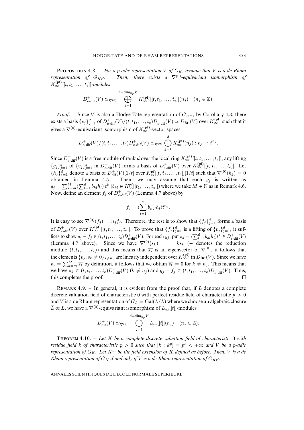**PROPOSITION 4.8.** – *For a p-adic representation* V of  $G_K$ *, assume that* V *is a de Rham representation of*  $G_{Kp^f}$ . Then, there exists a  $\nabla^{(0)}$ -equivariant isomorphism of  $K_{\infty}^{(pf)}[[t,t_1,\ldots,t_e]]$ *-modules* 

$$
D_{e\text{-dif}}^+(V) \simeq_{\nabla^{(0)}} \bigoplus_{j=1}^{d=\dim_{\mathbb{Q}_p} V} K_{\infty}^{(pf)}[[t, t_1, \ldots, t_e]](n_j) \quad (n_j \in \mathbb{Z}).
$$

*Proof.* – Since V is also a Hodge-Tate representation of  $G_{K<sup>pf</sup>}$ , by Corollary 4.3, there exists a basis  $\{v_j\}_{j=1}^d$  of  $D^+_{e\text{-dif}}(V)/(t,t_1,\ldots,t_e)D^+_{e\text{-dif}}(V) \simeq D_{\text{Bri}}(V)$  over  $K^{(\text{pf})}_{\infty}$  such that it gives a  $\nabla^{(0)}$ -equivariant isomorphism of  $K_{\infty}^{(pf)}$ -vector spaces

$$
D^+_{e\text{-dif}}(V)/(t,t_1,\ldots,t_e)D^+_{e\text{-dif}}(V)\simeq_{\nabla^{(0)}} \bigoplus_{j=1}^d K_{\infty}^{(\text{pf})}(n_j): v_j \mapsto t^{n_j}.
$$

Since  $D_{e\text{-dif}}^+(V)$  is a free module of rank d over the local ring  $K_{\infty}^{(pf)}[[t,t_1,\ldots,t_e]],$  any lifting  ${g_j}_{j=1}^d$  of  ${v_j}_{j=1}^d$  in  $D_{e\text{-dif}}^+(V)$  forms a basis of  $D_{e\text{-dif}}^+(V)$  over  $K_\infty^{\text{(pf)}}[[t, t_1, \ldots, t_e]].$  Let  ${h_j}_{j=1}^d$  denote a basis of  $D_{\text{dif}}^+(V)[1/t]$  over  $K^{\text{pf}}_{\infty}[[t, t_1, \ldots, t_e]][1/t]$  such that  $\nabla^{(0)}(h_j) = 0$ obtained in Lemma 4.5. Then, we may assume that each  $g_j$  is written as  $g_j = \sum_{k=m}^{M} (\sum_{l=1}^d b_{kl} h_l) t^k (b_{kl} \in K_{\infty}^{\text{pf}}[[t_1, \dots, t_e]])$  where we take  $M \in \mathbb{N}$  as in Remark 4.6. Now, define an element  $f_j$  of  $D_{e\text{-dif}}^+(V)$  (Lemma 4.7 above) by

$$
f_j = \left(\sum_{l=1}^d b_{n_jl} h_l\right) t^{n_j}.
$$

It is easy to see  $\nabla^{(0)}(f_j) = n_j f_j$ . Therefore, the rest is to show that  $\{f_j\}_{j=1}^d$  forms a basis of  $D_{e\text{-dif}}^+(V)$  over  $K_{\infty}^{(pf)}[[t, t_1, \ldots, t_e]].$  To prove that  $\{f_j\}_{j=1}^d$  is a lifting of  $\{v_j\}_{j=1}^d$ , it suffices to show  $g_j - f_j \in (t, t_1, \ldots, t_e) D_{e-\text{dif}}^+(V)$ . For each  $g_j$ , put  $s_k = (\sum_{l=1}^d b_{kl} h_l) t^k \in D_{e-\text{dif}}^+(V)$ (Lemma 4.7 above). Since we have  $\nabla^{(0)}(\overline{s_k}) = k \overline{s_k}$  (– denotes the reduction modulo  $(t, t_1, \ldots, t_e)$  and this means that  $\overline{s_k}$  is an eigenvector of  $\nabla^{(0)}$ , it follows that the elements  $\{v_j, \overline{s_k} \neq 0\}_{k \neq n_j}$  are linearly independent over  $K_{\infty}^{(pf)}$  in  $D_{\text{Bri}}(V)$ . Since we have  $v_j = \sum_{k=m}^{M} \overline{s_k}$  by definition, it follows that we obtain  $\overline{s_k} = 0$  for  $k \neq n_j$ . This means that we have  $s_k \in (t, t_1, \ldots, t_e) D_{e-\text{dif}}^+(V)$   $(k \neq n_j)$  and  $g_j - f_j \in (t, t_1, \ldots, t_e) D_{e-\text{dif}}^+(V)$ . Thus, this completes the proof.  $\Box$ 

REMARK 4.9. – In general, it is evident from the proof that, if  $L$  denotes a complete discrete valuation field of characteristic 0 with perfect residue field of characteristic  $p > 0$ and V is a de Rham representation of  $G_L = \text{Gal}(\overline{L}/L)$  where we choose an algebraic closure  $\overline{L}$  of L, we have a  $\nabla^{(0)}$ -equivariant isomorphism of  $L_{\infty}[[t]]$ -modules

$$
D_{\mathrm{dif}}^+(V) \simeq_{\nabla^{(0)}} \bigoplus_{j=1}^{d = \dim_{\mathbb{Q}_p} V} L_{\infty}[[t]](n_j) \quad (n_j \in \mathbb{Z}).
$$

THEOREM 4.10. – Let K be a complete discrete valuation field of characteristic 0 with *residue field* k of characteristic  $p > 0$  such that  $[k : k^p] = p^e < +\infty$  and V be a p-adic *representation of*  $G_K$ . Let  $K^{\text{pf}}$  *be the field extension of*  $K$  *defined as before. Then,*  $V$  *is a de Rham representation of*  $G_K$  *if and only if* V *is a de Rham representation of*  $G_{Kp^f}$ *.*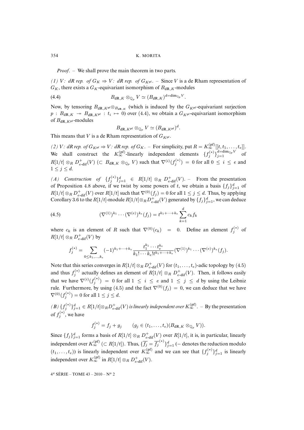*Proof*. – We shall prove the main theorem in two parts.

*(1) V: dR rep. of*  $G_K \Rightarrow V$ *: dR rep. of*  $G_{Kpr}$ *.* – Since *V* is a de Rham representation of  $G_K$ , there exists a  $G_K$ -equivariant isomorphism of  $B_{dR,K}$ -modules

(4.4) 
$$
B_{\mathrm{dR},K} \otimes_{\mathbb{Q}_p} V \simeq (B_{\mathrm{dR},K})^{d=\dim_{\mathbb{Q}_p} V}.
$$

Now, by tensoring  $B_{dR,Kp}$ <sup>f</sup> $\otimes_{B_{dR,K}}$  (which is induced by the  $G_{Kp}$ <sup>f</sup>-equivariant surjection  $p : B_{\text{dR},K} \twoheadrightarrow B_{\text{dR},K}$ <sup>f</sup> :  $t_i \mapsto 0$ ) over (4.4), we obtain a  $G_{K}$ <sup>f</sup>-equivariant isomorphism of  $B_{\text{dR},K}$ <sub>pf</sub>-modules

$$
B_{\mathrm{dR}, K^{\mathrm{pf}}} \otimes_{\mathbb{Q}_p} V \simeq (B_{\mathrm{dR}, K^{\mathrm{pf}}})^d.
$$

This means that V is a de Rham representation of  $G_{K<sup>pf</sup>}$ .

*(2) V : dR rep. of*  $G_{K<sup>pf</sup>} \Rightarrow V$ *: dR rep. of*  $G_K$ . – For simplicity, put  $R = K_{\infty}^{(p f)}[[t, t_1, \ldots, t_e]].$ We shall construct the  $K_{\infty}^{(pf)}$ -linearly independent elements  $\{f_j^{(*)}\}_{j=1}^{d=\dim_{\mathbb{Q}_p}V}$  of  $R[1/t] \otimes_R D_{e\text{-dif}}^+(V)$  ( $\subset B_{dR,K} \otimes_{\mathbb{Q}_p} V$ ) such that  $\nabla^{(i)}(f_j^{(*)}) = 0$  for all  $0 \le i \le e$  and  $1 \leq j \leq d$ .

*(A)* Construction of  $\{f_j^{(*)}\}_{j=1}^d \in R[1/t] \otimes_R D_{e\text{-dif}}^+(V)$ . – From the presentation of Proposition 4.8 above, if we twist by some powers of t, we obtain a basis  $\{f_j\}_{j=1}^d$  of  $R[1/t] \otimes_R D_{e\text{-dif}}^+(V)$  over  $R[1/t]$  such that  $\nabla^{(0)}(f_j) = 0$  for all  $1 \le j \le d$ . Thus, by applying Corollary 3.6 to the  $R[1/t]$ -module  $R[1/t] \otimes_R D_{e\text{-dif}}^+(V)$  generated by  $\{f_j\}_{j=1}^d$ , we can deduce

(4.5) 
$$
(\nabla^{(1)})^{k_1} \cdots (\nabla^{(e)})^{k_e} (f_j) = t^{k_1 + \cdots + k_e} \sum_{k=1}^d c_k f_k
$$

where  $c_k$  is an element of R such that  $\nabla^{(0)}(c_k) = 0$ . Define an element  $f_j^{(*)}$  of  $R[1/t] \otimes_R D^+_{e\text{-dif}}(V)$  by

$$
f_j^{(*)} = \sum_{0 \leq k_1, \ldots, k_e} (-1)^{k_1 + \cdots + k_e} \frac{t_1^{k_1} \cdots t_e^{k_e}}{k_1! \cdots k_e! t^{k_1 + \cdots + k_e}} (\nabla^{(1)})^{k_1} \cdots (\nabla^{(e)})^{k_e} (f_j).
$$

Note that this series converges in  $R[1/t] \otimes_R D^+_{e\text{-dif}}(V)$  for  $(t_1,\ldots,t_e)$ -adic topology by (4.5) and thus  $f_j^{(*)}$  actually defines an element of  $R[1/t] \otimes_R D^+_{e\text{-dif}}(V)$ . Then, it follows easily that we have  $\nabla^{(i)}(f_j^{(*)}) = 0$  for all  $1 \leq i \leq e$  and  $1 \leq j \leq d$  by using the Leibniz rule. Furthermore, by using (4.5) and the fact  $\nabla^{(0)}(f_i) = 0$ , we can deduce that we have  $\nabla^{(0)}(f_j^{(*)}) = 0$  for all  $1 \le j \le d$ .

*(B)* { $f_j^{(*)}$ } $_{j=1}^d$  ∈  $R[1/t] ⊗_R D_{e\text{-dif}}^+(V)$  *is linearly independent over*  $K_{\infty}^{(pf)}$ . – By the presentation of  $f_j^{(*)}$ , we have

$$
f_j^{(*)} = f_j + g_j \qquad (g_j \in (t_1, \ldots, t_e) (B_{\mathrm{dR}, K} \otimes_{\mathbb{Q}_p} V)).
$$

Since  $\{f_j\}_{j=1}^d$  forms a basis of  $R[1/t] \otimes_R D_{e\text{-dif}}^+(V)$  over  $R[1/t]$ , it is, in particular, linearly independent over  $K_{\infty}^{(pf)}$  ( $\subset R[1/t]$ ). Thus,  $\{\overline{f_j} = \overline{f_j}^{(*)}\}_{j=1}^d$  ( $-$  denotes the reduction modulo  $(t_1,\ldots,t_e)$ ) is linearly independent over  $K_{\infty}^{(pf)}$  and we can see that  $\{f_j^{(*)}\}_{j=1}^d$  is linearly independent over  $K_{\infty}^{(pf)}$  in  $R[1/t] \otimes_R D_{e\text{-dif}}^+(V)$ .